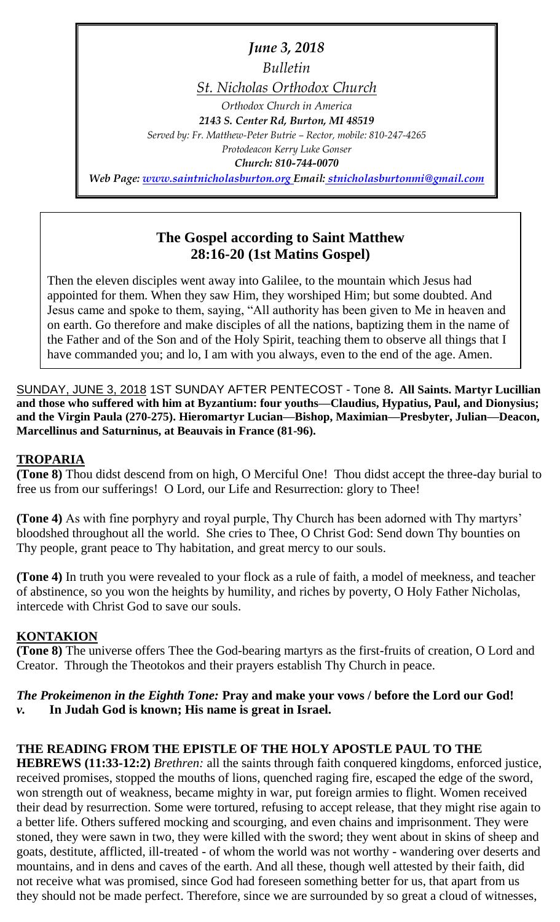*June 3, 2018 Bulletin St. Nicholas Orthodox Church Orthodox Church in America 2143 S. Center Rd, Burton, MI 48519 Served by: Fr. Matthew-Peter Butrie – Rector, mobile: 810-247-4265 Protodeacon Kerry Luke Gonser Church: 810-744-0070 Web Page: [www.saintnicholasburton.org](http://www.saintnicholasburton.org/) Email: stnicholasburtonmi@gmail.com*

## **The Gospel according to Saint Matthew 28:16-20 (1st Matins Gospel)**

Then the eleven disciples went away into Galilee, to the mountain which Jesus had appointed for them. When they saw Him, they worshiped Him; but some doubted. And Jesus came and spoke to them, saying, "All authority has been given to Me in heaven and on earth. Go therefore and make disciples of all the nations, baptizing them in the name of the Father and of the Son and of the Holy Spirit, teaching them to observe all things that I have commanded you; and lo, I am with you always, even to the end of the age. Amen.

SUNDAY, JUNE 3, 2018 1ST SUNDAY AFTER PENTECOST - Tone 8**. All Saints. Martyr Lucillian and those who suffered with him at Byzantium: four youths—Claudius, Hypatius, Paul, and Dionysius; and the Virgin Paula (270-275). Hieromartyr Lucian—Bishop, Maximian—Presbyter, Julian—Deacon, Marcellinus and Saturninus, at Beauvais in France (81-96).**

### **TROPARIA**

**(Tone 8)** Thou didst descend from on high, O Merciful One! Thou didst accept the three-day burial to free us from our sufferings! O Lord, our Life and Resurrection: glory to Thee!

**(Tone 4)** As with fine porphyry and royal purple, Thy Church has been adorned with Thy martyrs' bloodshed throughout all the world. She cries to Thee, O Christ God: Send down Thy bounties on Thy people, grant peace to Thy habitation, and great mercy to our souls.

**(Tone 4)** In truth you were revealed to your flock as a rule of faith, a model of meekness, and teacher of abstinence, so you won the heights by humility, and riches by poverty, O Holy Father Nicholas, intercede with Christ God to save our souls.

### **KONTAKION**

**(Tone 8)** The universe offers Thee the God-bearing martyrs as the first-fruits of creation, O Lord and Creator. Through the Theotokos and their prayers establish Thy Church in peace.

### *The Prokeimenon in the Eighth Tone:* **Pray and make your vows / before the Lord our God!** *v.* **In Judah God is known; His name is great in Israel.**

### **THE READING FROM THE EPISTLE OF THE HOLY APOSTLE PAUL TO THE**

**HEBREWS (11:33-12:2)** *Brethren:* all the saints through faith conquered kingdoms, enforced justice, received promises, stopped the mouths of lions, quenched raging fire, escaped the edge of the sword, won strength out of weakness, became mighty in war, put foreign armies to flight. Women received their dead by resurrection. Some were tortured, refusing to accept release, that they might rise again to a better life. Others suffered mocking and scourging, and even chains and imprisonment. They were stoned, they were sawn in two, they were killed with the sword; they went about in skins of sheep and goats, destitute, afflicted, ill-treated - of whom the world was not worthy - wandering over deserts and mountains, and in dens and caves of the earth. And all these, though well attested by their faith, did not receive what was promised, since God had foreseen something better for us, that apart from us they should not be made perfect. Therefore, since we are surrounded by so great a cloud of witnesses,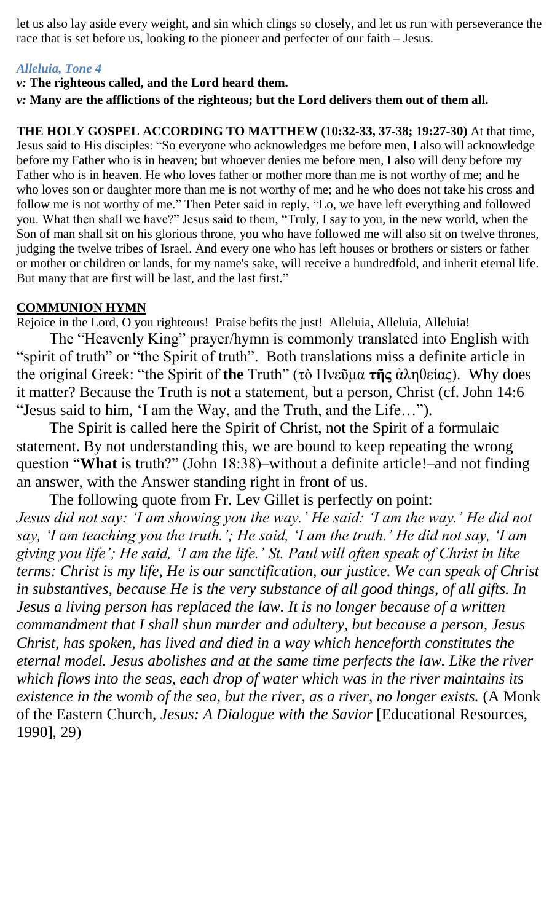let us also lay aside every weight, and sin which clings so closely, and let us run with perseverance the race that is set before us, looking to the pioneer and perfecter of our faith – Jesus.

### *Alleluia, Tone 4*

### *v:* **The righteous called, and the Lord heard them.**

*v:* **Many are the afflictions of the righteous; but the Lord delivers them out of them all.**

**THE HOLY GOSPEL ACCORDING TO MATTHEW (10:32-33, 37-38; 19:27-30)** At that time, Jesus said to His disciples: "So everyone who acknowledges me before men, I also will acknowledge before my Father who is in heaven; but whoever denies me before men, I also will deny before my Father who is in heaven. He who loves father or mother more than me is not worthy of me; and he who loves son or daughter more than me is not worthy of me; and he who does not take his cross and follow me is not worthy of me." Then Peter said in reply, "Lo, we have left everything and followed you. What then shall we have?" Jesus said to them, "Truly, I say to you, in the new world, when the Son of man shall sit on his glorious throne, you who have followed me will also sit on twelve thrones, judging the twelve tribes of Israel. And every one who has left houses or brothers or sisters or father or mother or children or lands, for my name's sake, will receive a hundredfold, and inherit eternal life. But many that are first will be last, and the last first."

### **COMMUNION HYMN**

Rejoice in the Lord, O you righteous! Praise befits the just! Alleluia, Alleluia, Alleluia!

The "Heavenly King" prayer/hymn is commonly translated into English with "spirit of truth" or "the Spirit of truth". Both translations miss a definite article in the original Greek: "the Spirit of **the** Truth" (τὸ Πνεῦμα **τῆς** ἀληθείας). Why does it matter? Because the Truth is not a statement, but a person, Christ (cf. John 14:6 "Jesus said to him, 'I am the Way, and the Truth, and the Life…").

The Spirit is called here the Spirit of Christ, not the Spirit of a formulaic statement. By not understanding this, we are bound to keep repeating the wrong question "**What** is truth?" (John 18:38)–without a definite article!–and not finding an answer, with the Answer standing right in front of us.

The following quote from Fr. Lev Gillet is perfectly on point: *Jesus did not say: 'I am showing you the way.' He said: 'I am the way.' He did not say, 'I am teaching you the truth.'; He said, 'I am the truth.' He did not say, 'I am giving you life'; He said, 'I am the life.' St. Paul will often speak of Christ in like terms: Christ is my life, He is our sanctification, our justice. We can speak of Christ in substantives, because He is the very substance of all good things, of all gifts. In Jesus a living person has replaced the law. It is no longer because of a written commandment that I shall shun murder and adultery, but because a person, Jesus Christ, has spoken, has lived and died in a way which henceforth constitutes the eternal model. Jesus abolishes and at the same time perfects the law. Like the river which flows into the seas, each drop of water which was in the river maintains its existence in the womb of the sea, but the river, as a river, no longer exists.* (A Monk of the Eastern Church, *Jesus: A Dialogue with the Savior* [Educational Resources, 1990], 29)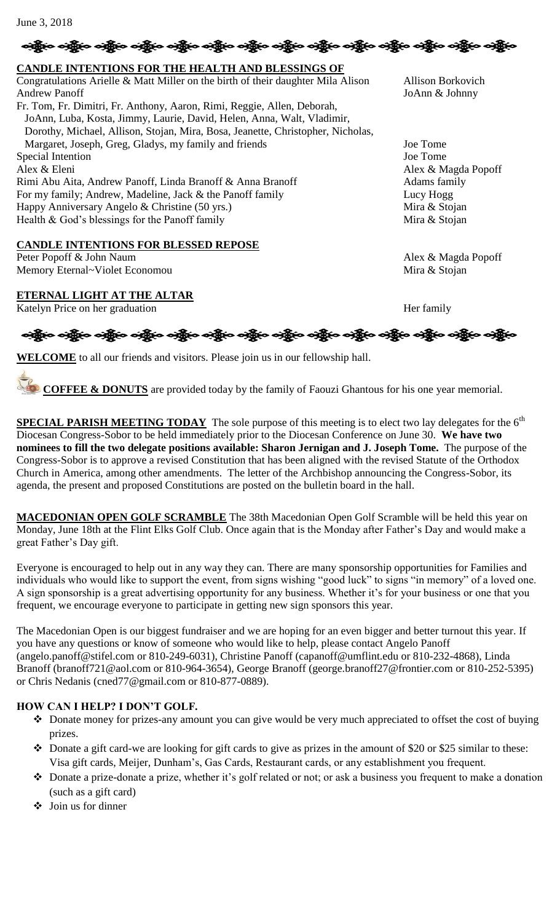#### June 3, 2018

### ခရွိက ခရွိက ခရွိက သူမြို့ အသို့ အသို့ အသို့ အသို့ အသို့ အသို့ အသို့ အသို့ အသို့ အသို့ အသို့ အသို့ အသို့ အသို့

#### **CANDLE INTENTIONS FOR THE HEALTH AND BLESSINGS OF**  Congratulations Arielle & Matt Miller on the birth of their daughter Mila Alison Allison Borkovich Andrew Panoff JoAnn & Johnny Fr. Tom, Fr. Dimitri, Fr. Anthony, Aaron, Rimi, Reggie, Allen, Deborah, JoAnn, Luba, Kosta, Jimmy, Laurie, David, Helen, Anna, Walt, Vladimir, Dorothy, Michael, Allison, Stojan, Mira, Bosa, Jeanette, Christopher, Nicholas, Margaret, Joseph, Greg, Gladys, my family and friends Joe Tome Special Intention Joe Tome Alex & Eleni Alex & Magda Popoff Rimi Abu Aita, Andrew Panoff, Linda Branoff & Anna Branoff (State of Adams family For my family; Andrew, Madeline, Jack & the Panoff family Lucy Hogg Lucy Hogg Happy Anniversary Angelo & Christine (50 yrs.) Mira & Stojan Health & God's blessings for the Panoff family Mira & Stojan

#### **CANDLE INTENTIONS FOR BLESSED REPOSE**

Peter Popoff & John Naum Alex & Magda Popoff Memory Eternal~Violet Economou and the state of the state of the Mira & Stojan

#### **ETERNAL LIGHT AT THE ALTAR**

Katelyn Price on her graduation Her family

# ခရွို့က ခရွိက သန္တို့က ခရွိက သန္တို့က သန္တို့က သန္တို့က သန္တို့က သန္တို့က သန္တို့က သန္တို့က သန္တို့က သန္တို့က

**WELCOME** to all our friends and visitors. Please join us in our fellowship hall.

**COFFEE & DONUTS** are provided today by the family of Faouzi Ghantous for his one year memorial.

**SPECIAL PARISH MEETING TODAY** The sole purpose of this meeting is to elect two lay delegates for the 6<sup>th</sup> Diocesan Congress-Sobor to be held immediately prior to the Diocesan Conference on June 30. **We have two nominees to fill the two delegate positions available: Sharon Jernigan and J. Joseph Tome.** The purpose of the Congress-Sobor is to approve a revised Constitution that has been aligned with the revised Statute of the Orthodox Church in America, among other amendments. The letter of the Archbishop announcing the Congress-Sobor, its agenda, the present and proposed Constitutions are posted on the bulletin board in the hall.

**MACEDONIAN OPEN GOLF SCRAMBLE** The 38th Macedonian Open Golf Scramble will be held this year on Monday, June 18th at the Flint Elks Golf Club. Once again that is the Monday after Father's Day and would make a great Father's Day gift.

Everyone is encouraged to help out in any way they can. There are many sponsorship opportunities for Families and individuals who would like to support the event, from signs wishing "good luck" to signs "in memory" of a loved one. A sign sponsorship is a great advertising opportunity for any business. Whether it's for your business or one that you frequent, we encourage everyone to participate in getting new sign sponsors this year.

The Macedonian Open is our biggest fundraiser and we are hoping for an even bigger and better turnout this year. If you have any questions or know of someone who would like to help, please contact Angelo Panoff (angelo.panoff@stifel.com or 810-249-6031), Christine Panoff (capanoff@umflint.edu or 810-232-4868), Linda Branoff (branoff721@aol.com or 810-964-3654), George Branoff (george.branoff27@frontier.com or 810-252-5395) or Chris Nedanis (cned77@gmail.com or 810-877-0889).

#### **HOW CAN I HELP? I DON'T GOLF.**

- Donate money for prizes-any amount you can give would be very much appreciated to offset the cost of buying prizes.
- $\bullet$  Donate a gift card-we are looking for gift cards to give as prizes in the amount of \$20 or \$25 similar to these: Visa gift cards, Meijer, Dunham's, Gas Cards, Restaurant cards, or any establishment you frequent.
- Donate a prize-donate a prize, whether it's golf related or not; or ask a business you frequent to make a donation (such as a gift card)
- $\div$  Join us for dinner